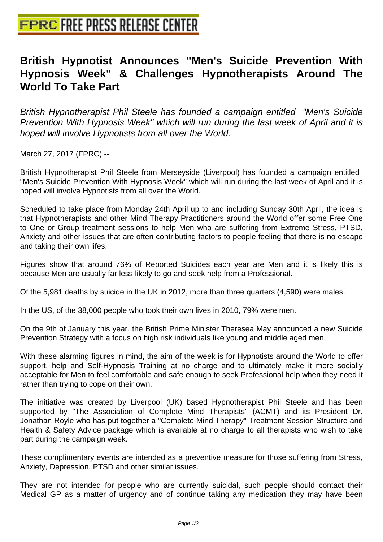## **[British Hypnotist Announces "M](http://www.free-press-release-center.info)en's Suicide Prevention With Hypnosis Week" & Challenges Hypnotherapists Around The World To Take Part**

British Hypnotherapist Phil Steele has founded a campaign entitled "Men's Suicide Prevention With Hypnosis Week" which will run during the last week of April and it is hoped will involve Hypnotists from all over the World.

March 27, 2017 (FPRC) --

British Hypnotherapist Phil Steele from Merseyside (Liverpool) has founded a campaign entitled "Men's Suicide Prevention With Hypnosis Week" which will run during the last week of April and it is hoped will involve Hypnotists from all over the World.

Scheduled to take place from Monday 24th April up to and including Sunday 30th April, the idea is that Hypnotherapists and other Mind Therapy Practitioners around the World offer some Free One to One or Group treatment sessions to help Men who are suffering from Extreme Stress, PTSD, Anxiety and other issues that are often contributing factors to people feeling that there is no escape and taking their own lifes.

Figures show that around 76% of Reported Suicides each year are Men and it is likely this is because Men are usually far less likely to go and seek help from a Professional.

Of the 5,981 deaths by suicide in the UK in 2012, more than three quarters (4,590) were males.

In the US, of the 38,000 people who took their own lives in 2010, 79% were men.

On the 9th of January this year, the British Prime Minister Theresea May announced a new Suicide Prevention Strategy with a focus on high risk individuals like young and middle aged men.

With these alarming figures in mind, the aim of the week is for Hypnotists around the World to offer support, help and Self-Hypnosis Training at no charge and to ultimately make it more socially acceptable for Men to feel comfortable and safe enough to seek Professional help when they need it rather than trying to cope on their own.

The initiative was created by Liverpool (UK) based Hypnotherapist Phil Steele and has been supported by "The Association of Complete Mind Therapists" (ACMT) and its President Dr. Jonathan Royle who has put together a "Complete Mind Therapy" Treatment Session Structure and Health & Safety Advice package which is available at no charge to all therapists who wish to take part during the campaign week.

These complimentary events are intended as a preventive measure for those suffering from Stress, Anxiety, Depression, PTSD and other similar issues.

They are not intended for people who are currently suicidal, such people should contact their Medical GP as a matter of urgency and of continue taking any medication they may have been